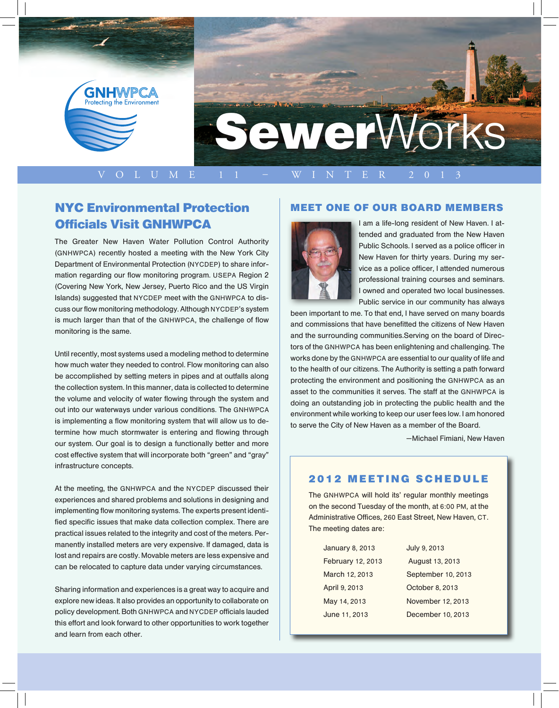

### NYC Environmental Protection Officials Visit GNHWPCA

The Greater New Haven Water Pollution Control Authority (GNHWPCA) recently hosted a meeting with the New York City Department of Environmental Protection (NYCDEP) to share information regarding our flow monitoring program. USEPA Region 2 (Covering New York, New Jersey, Puerto Rico and the US Virgin Islands) suggested that NYCDEP meet with the GNHWPCA to discuss our flow monitoring methodology. Although NYCDEP's system is much larger than that of the GNHWPCA, the challenge of flow monitoring is the same.

Until recently, most systems used a modeling method to determine how much water they needed to control. Flow monitoring can also be accomplished by setting meters in pipes and at outfalls along the collection system. In this manner, data is collected to determine the volume and velocity of water flowing through the system and out into our waterways under various conditions. The GNHWPCA is implementing a flow monitoring system that will allow us to determine how much stormwater is entering and flowing through our system. Our goal is to design a functionally better and more cost effective system that will incorporate both "green" and "gray" infrastructure concepts.

At the meeting, the GNHWPCA and the NYCDEP discussed their experiences and shared problems and solutions in designing and implementing flow monitoring systems. The experts present identified specific issues that make data collection complex. There are practical issues related to the integrity and cost of the meters. Permanently installed meters are very expensive. If damaged, data is lost and repairs are costly. Movable meters are less expensive and can be relocated to capture data under varying circumstances.

Sharing information and experiences is a great way to acquire and explore new ideas. It also provides an opportunity to collaborate on policy development. Both GNHWPCA and NYCDEP officials lauded this effort and look forward to other opportunities to work together and learn from each other.

### Meet ONE OF our Board MemberS



I am a life-long resident of New Haven. I attended and graduated from the New Haven Public Schools. I served as a police officer in New Haven for thirty years. During my service as a police officer, I attended numerous professional training courses and seminars. I owned and operated two local businesses. Public service in our community has always

been important to me. To that end, I have served on many boards and commissions that have benefitted the citizens of New Haven and the surrounding communities.Serving on the board of Directors of the GNHWPCA has been enlightening and challenging. The works done by the GNHWPCA are essential to our quality of life and to the health of our citizens. The Authority is setting a path forward protecting the environment and positioning the GNHWPCA as an asset to the communities it serves. The staff at the GNHWPCA is doing an outstanding job in protecting the public health and the environment while working to keep our user fees low. I am honored to serve the City of New Haven as a member of the Board.

—Michael Fimiani, New Haven

### **2012 MEETING SCHEDULE**

The GNHWPCA will hold its' regular monthly meetings on the second Tuesday of the month, at 6:00 PM, at the Administrative Offices, 260 East Street, New Haven, CT. The meeting dates are:

| <b>January 8, 2013</b> | July 9, 2013       |
|------------------------|--------------------|
| February 12, 2013      | August 13, 2013    |
| March 12, 2013         | September 10, 2013 |
| April 9, 2013          | October 8, 2013    |
| May 14, 2013           | November 12, 2013  |
| June 11, 2013          | December 10, 2013  |